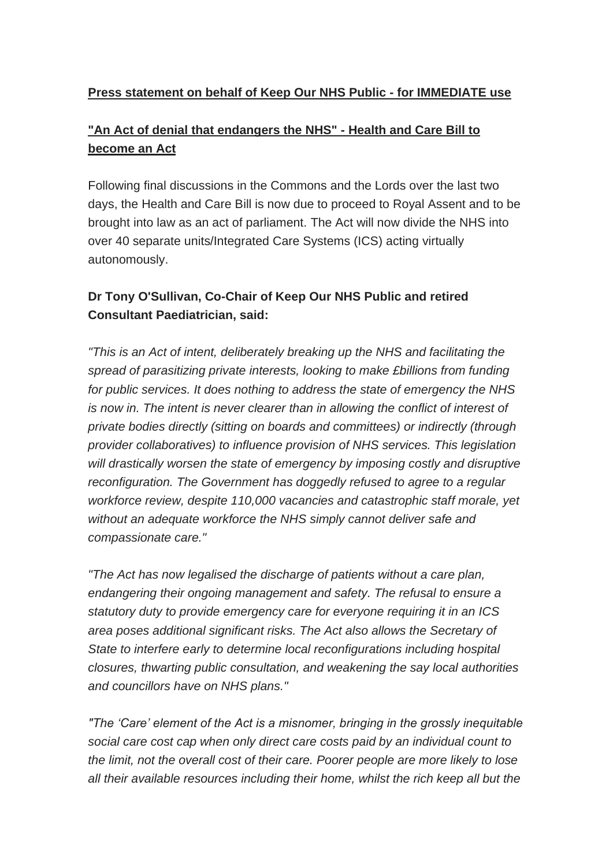## **Press statement on behalf of Keep Our NHS Public - for IMMEDIATE use**

## **"An Act of denial that endangers the NHS" - Health and Care Bill to become an Act**

Following final discussions in the Commons and the Lords over the last two days, the Health and Care Bill is now due to proceed to Royal Assent and to be brought into law as an act of parliament. The Act will now divide the NHS into over 40 separate units/Integrated Care Systems (ICS) acting virtually autonomously.

## **Dr Tony O'Sullivan, Co-Chair of Keep Our NHS Public and retired Consultant Paediatrician, said:**

*"This is an Act of intent, deliberately breaking up the NHS and facilitating the spread of parasitizing private interests, looking to make £billions from funding for public services. It does nothing to address the state of emergency the NHS is now in. The intent is never clearer than in allowing the conflict of interest of private bodies directly (sitting on boards and committees) or indirectly (through provider collaboratives) to influence provision of NHS services. This legislation will drastically worsen the state of emergency by imposing costly and disruptive reconfiguration. The Government has doggedly refused to agree to a regular workforce review, despite 110,000 vacancies and catastrophic staff morale, yet without an adequate workforce the NHS simply cannot deliver safe and compassionate care."*

*"The Act has now legalised the discharge of patients without a care plan, endangering their ongoing management and safety. The refusal to ensure a statutory duty to provide emergency care for everyone requiring it in an ICS area poses additional significant risks. The Act also allows the Secretary of State to interfere early to determine local reconfigurations including hospital closures, thwarting public consultation, and weakening the say local authorities and councillors have on NHS plans."*

*"The 'Care' element of the Act is a misnomer, bringing in the grossly inequitable social care cost cap when only direct care costs paid by an individual count to the limit, not the overall cost of their care. Poorer people are more likely to lose all their available resources including their home, whilst the rich keep all but the*